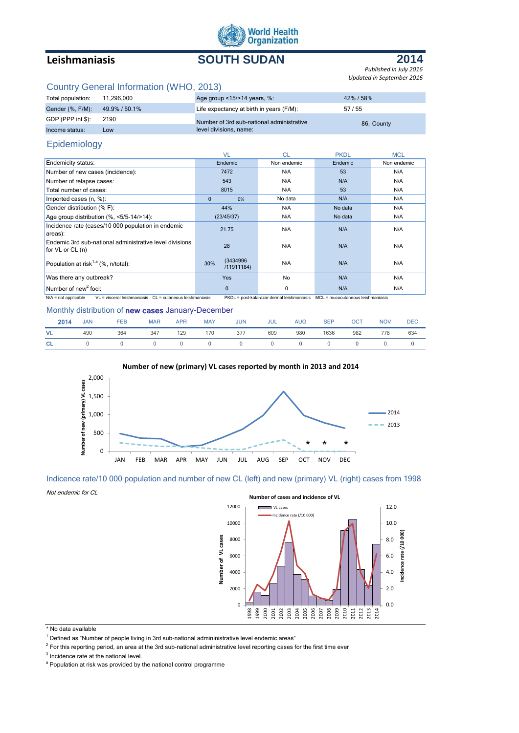

# **Leishmaniasis SOUTH SUDAN**



*Published in July 2016 Updated in September 2016*

## Country General Information (WHO, 2013)

| Total population: | 11.296.000    | Age group $\leq$ 15/ $>$ 14 years, %:     | 42%/58%    |
|-------------------|---------------|-------------------------------------------|------------|
| Gender (%, F/M):  | 49.9% / 50.1% | Life expectancy at birth in years (F/M):  | 57/55      |
| GDP (PPP int \$): | 2190          | Number of 3rd sub-national administrative | 86, County |
| Income status:    | LOW           | level divisions, name:                    |            |

### Epidemiology

|                                                                                 | <b>VL</b>                      | <b>CL</b>   | <b>PKDL</b> | <b>MCL</b>  |
|---------------------------------------------------------------------------------|--------------------------------|-------------|-------------|-------------|
| <b>Endemicity status:</b>                                                       | Endemic                        | Non endemic | Endemic     | Non endemic |
| Number of new cases (incidence):                                                | 7472                           | N/A         | 53          | N/A         |
| Number of relapse cases:                                                        | 543                            | N/A         | N/A         | N/A         |
| Total number of cases:                                                          | 8015                           | N/A         | 53          | N/A         |
| Imported cases (n, %):                                                          | $\mathbf{0}$<br>0%             | No data     | N/A         | N/A         |
| Gender distribution (% F):                                                      | 44%                            | N/A         | No data     | N/A         |
| Age group distribution $(\%,-5/5-14/>14)$ :                                     | (23/45/37)                     | N/A         | No data     | N/A         |
| Incidence rate (cases/10 000 population in endemic<br>areas):                   | 21.75                          | N/A         | N/A         | N/A         |
| Endemic 3rd sub-national administrative level divisions<br>for $VL$ or $CL$ (n) | 28                             | N/A         | N/A         | N/A         |
| Population at risk <sup>1,a</sup> (%, n/total):                                 | (3434996)<br>30%<br>/11911184) | N/A         | N/A         | N/A         |
| Was there any outbreak?                                                         | <b>Yes</b>                     | No          | N/A         | N/A         |
| Number of new <sup>2</sup> foci:                                                | $\Omega$                       | $\Omega$    | N/A         | N/A         |

N/A = not applicable VL = visceral leishmaniasis CL = cutaneous leishmaniasis PKDL = post-kala-azar dermal leishmaniasis MCL = mucocutaneous leishmaniasis

#### Monthly distribution of new cases January-December

| 2014      | <b>JAN</b> | <b>FEB</b> | <b>MAR</b> | <b>APR</b> | MAY | <b>JUN</b> | JUL | <b>AUG</b> | <b>SEP</b> | <b>OCT</b>     | <b>NOV</b> | <b>DEC</b> |
|-----------|------------|------------|------------|------------|-----|------------|-----|------------|------------|----------------|------------|------------|
| <b>VL</b> | 490        | 364        | 347        | 129        |     | 170 377    | 609 | 980        | 1636       | 982            | 778        | 634        |
| <b>CL</b> | $\sim$ 0   | $\Omega$   | $\sim$ 0   | $\sim$ 0   |     |            |     |            |            | $\overline{0}$ |            |            |





Indicence rate/10 000 population and number of new CL (left) and new (primary) VL (right) cases from 1998

Not endemic for CL



\* No data available

 $1$  Defined as "Number of people living in 3rd sub-national admininistrative level endemic areas"

 $^2$  For this reporting period, an area at the 3rd sub-national administrative level reporting cases for the first time ever

 $3$  Incidence rate at the national level.

<sup>&</sup>lt;sup>a</sup> Population at risk was provided by the national control programme